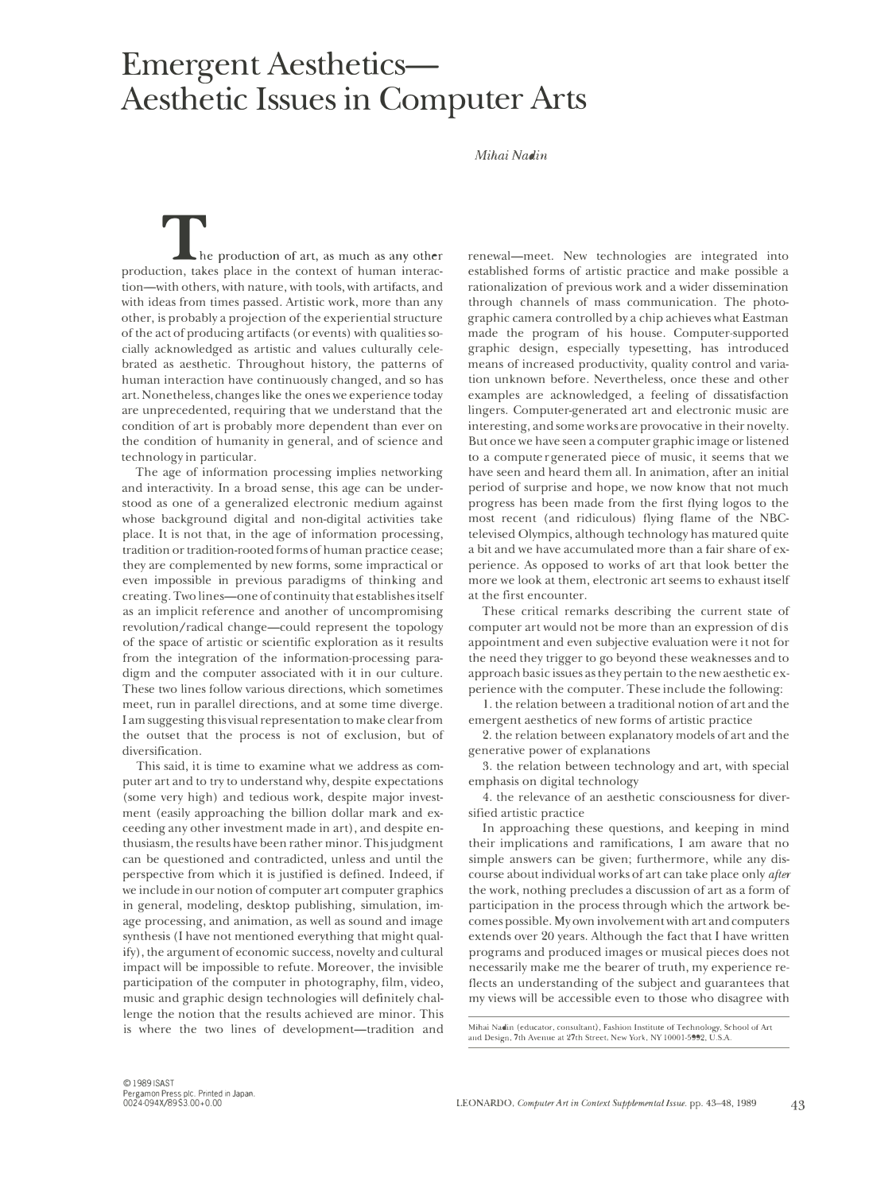# **Emergent Aesthetics-Aesthetic Issues in Computer Arts**

*MihaiNadin* 

he production of art, as much as any other production, takes place in the context of human interaction-with others, with nature, with tools, with artifacts, and with ideas from times passed. Artistic work, more than any other, is probably a projection of the experiential structure of the act of producing artifacts (or events) with qualities socially acknowledged as artistic and values culturally celebrated as aesthetic. Throughout history, the patterns of human interaction have continuously changed, and so has art. Nonetheless, changes like the ones we experience today are unprecedented, requiring that we understand that the condition of art is probably more dependent than ever on the condition of humanity in general, and of science and technology in particular.

The age of information processing implies networking and interactivity. In a broad sense, this age can be understood as one of a generalized electronic medium against whose background digital and non-digital activities take place. It is not that, in the age of information processing, tradition or tradition-rooted forms of human practice cease; they are complemented by new forms, some impractical or even impossible in previous paradigms of thinking and creating. Two lines-one of continuity that establishes itself as an implicit reference and another of uncompromising revolution/radical change-could represent the topology of the space of artistic or scientific exploration as it results from the integration of the information-processing paradigm and the computer associated with it in our culture. These two lines follow various directions, which sometimes meet, run in parallel directions, and at some time diverge. I am suggesting this visual representation to make clear from the outset that the process is not of exclusion, but of diversification.

This said, it is time to examine what we address as computer art and to try to understand why, despite expectations (some very high) and tedious work, despite major investment (easily approaching the billion dollar mark and exceeding any other investment made in art), and despite enthusiasm, the results have been rather minor. This judgment can be questioned and contradicted, unless and until the perspective from which it is justified is defined. Indeed, if we include in our notion of computer art computer graphics in general, modeling, desktop publishing, simulation, image processing, and animation, as well as sound and image synthesis (I have not mentioned everything that might qualify), the argument of economic success, novelty and cultural impact will be impossible to refute. Moreover, the invisible participation of the computer in photography, film, video, music and graphic design technologies will definitely challenge the notion that the results achieved are minor. This is where the two lines of development-tradition and renewal-meet. New technologies are integrated into established forms of artistic practice and make possible a rationalization of previous work and a wider dissemination through channels of mass communication. The photographic camera controlled by a chip achieves what Eastman made the program of his house. Computer-supported graphic design, especially typesetting, has introduced means of increased productivity, quality control and variation unknown before. Nevertheless, once these and other examples are acknowledged, a feeling of dissatisfaction lingers. Computer-generated art and electronic music are interesting, and some works are provocative in their novelty. But once we have seen a computer graphic image or listened to a computer generated piece of music, it seems that we have seen and heard them all. In animation, after an initial period of surprise and hope, we now know that not much progress has been made from the first flying logos to the most recent (and ridiculous) flying flame of the NBCtelevised Olympics, although technology has matured quite a bit and we have accumulated more than a fair share of experience. As opposed to works of art that look better the more we look at them, electronic art seems to exhaust itself at the first encounter.

These critical remarks describing the current state of computer art would not be more than an expression of disappointment and even subjective evaluation were it not for the need they trigger to go beyond these weaknesses and to approach basic issues as they pertain to the new aesthetic experience with the computer. These include the following:

1. the relation between a traditional notion of art and the emergent aesthetics of new forms of artistic practice

2. the relation between explanatory models of art and the generative power of explanations

3. the relation between technology and art, with special emphasis on digital technology

4. the relevance of an aesthetic consciousness for diversified artistic practice

In approaching these questions, and keeping in mind their implications and ramifications, I am aware that no simple answers can be given; furthermore, while any discourse about individual works of art can take place only *after*  the work, nothing precludes a discussion of art as a form of participation in the process through which the artwork becomes possible. My own involvement with art and computers extends over 20 years. Although the fact that I have written programs and produced images or musical pieces does not necessarily make me the bearer of truth, my experience reflects an understanding of the subject and guarantees that my views will be accessible even to those who disagree with

**Mihai Nadin (educator, consultant), Fashion lnstitme of Technology, School of Art and Design, 7th Avenue at 27th Street, New York, NY 10001-5992, U.S.A.**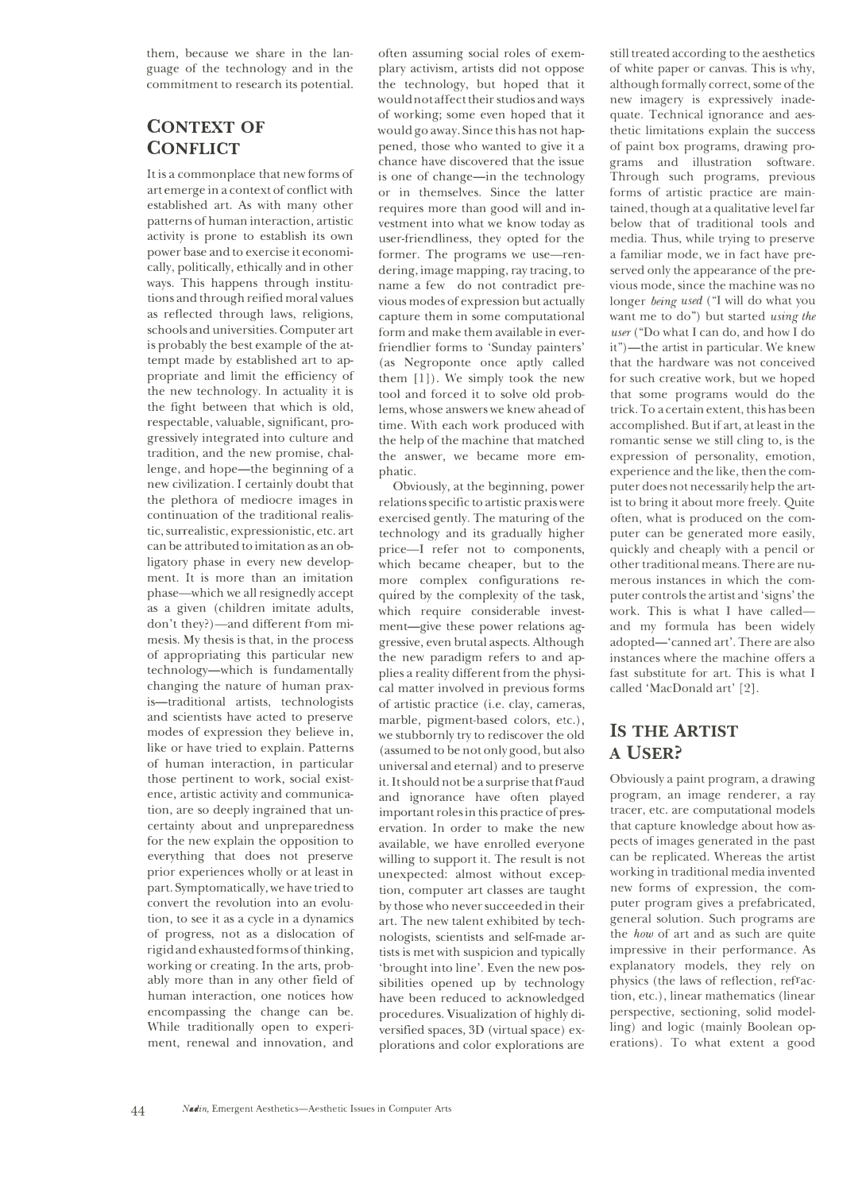them, because we share in the language of the technology and in the commitment to research its potential.

# **CONTEXT OF CONFLICT**

It is a commonplace that new forms of art emerge in a context of conflict with established art. As with many other patterns of human interaction, artistic activity is prone to establish its own power base and to exercise it economically, politically, ethically and in other ways. This happens through institutions and through reified moral values as reflected through laws, religions, schools and universities. Computer art is probably the best example of the attempt made by established art to appropriate and limit the efficiency of the new technology. In actuality it is the fight between that which is old, respectable, valuable, significant, progressively integrated into culture and tradition, and the new promise, challenge, and hope—the beginning of a new civilization. I certainly doubt that the plethora of mediocre images in continuation of the traditional realistic, surrealistic, expressionistic, etc. art can be attributed to imitation as an obligatory phase in every new development. It is more than an imitation phase-which we all resignedly accept as a given (children imitate adults, don't they?)—and different from mimesis. My thesis is that, in the process of appropriating this particular new technology-which is fundamentally changing the nature of human praxis-traditional artists, technologists and scientists have acted to preserve modes of expression they believe in, like or have tried to explain. Patterns of human interaction, in particular those pertinent to work, social existence, artistic activity and communication, are so deeply ingrained that uncertainty about and unpreparedness for the new explain the opposition to everything that does not preserve prior experiences wholly or at least in part. Symptomatically, we have tried to convert the revolution into an evolution, to see it as a cycle in a dynamics of progress, not as a dislocation of rigid and exhausted forms of thinking, working or creating. In the arts, probably more than in any other field of human interaction, one notices how encompassing the change can be. While traditionally open to experiment, renewal and innovation, and often assuming social roles of exemplary activism, artists did not oppose the technology, but hoped that it would not affect their studios and ways of working; some even hoped that it would go away. Since this has not happened, those who wanted to give it a chance have discovered that the issue is one of change-in the technology or in themselves. Since the latter requires more than good will and investment into what we know today as user-friendliness, they opted for the former. The programs we use-rendering, image mapping, ray tracing, to name a few do not contradict previous modes of expression but actually capture them in some computational form and make them available in everfriendlier forms to 'Sunday painters' (as Negroponte once aptly called them [l]). We simply took the new tool and forced it to solve old problems, whose answers we knew ahead of time. With each work produced with the help of the machine that matched the answer, we became more emphatic.

Obviously, at the beginning, power relations specific to artistic praxis were exercised gently. The maturing of the technology and its gradually higher price-I refer not to components, which became cheaper, but to the more complex configurations required by the complexity of the task, which require considerable investment-give these power relations aggressive, even brutal aspects. Although the new paradigm refers to and applies a reality different from the physical matter involved in previous forms of artistic practice (i.e. clay, cameras, marble, pigment-based colors, etc.), we stubbornly try to rediscover the old (assumed to be not only good, but also universal and eternal) and to preserve it. It should not be a surprise that fraud and ignorance have often played important roles in this practice of preservation. In order to make the new available, we have enrolled everyone willing to support it. The result is not unexpected: almost without exception, computer art classes are taught by those who never succeeded in their art. The new talent exhibited by technologists, scientists and self-made artists is met with suspicion and typically 'brought into line'. Even the new possibilities opened up by technology have been reduced to acknowledged procedures. Visualization of highly diversified spaces, 3D (virtual space) explorations and color explorations are

still treated according to the aesthetics of white paper or canvas. This is why, although formally correct, some of the new imagery is expressively inadequate. Technical ignorance and aesthetic limitations explain the success of paint box programs, drawing programs and illustration software. Through such programs, previous forms of artistic practice are maintained, though at a qualitative level far below that of traditional tools and media. Thus, while trying to preserve a familiar mode, we in fact have preserved only the appearance of the previous mode, since the machine was no longer *being used* ("I will do what you want me to do") but started *using the user* ("Do what I can do, and how I do it")-the artist in particular. We knew that the hardware was not conceived for such creative work, but we hoped that some programs would do the trick. To a certain extent, this has been accomplished. But if art, at least in the romantic sense we still cling to, is the expression of personality, emotion, experience and the like, then the computer does not necessarily help the artist to bring it about more freely. Quite often, what is produced on the computer can be generated more easily, quickly and cheaply with a pencil or other traditional means. There are numerous instances in which the computer controls the artist and 'signs' the work. This is what I have calledand my formula has been widely adopted-'canned art'. There are also instances where the machine offers a fast substitute for art. This is what I called 'MacDonald art' [2].

## **IS THE ARTIST A USER?**

Obviously a paint program, a drawing program, an image renderer, a ray tracer, etc. are computational models that capture knowledge about how aspects of images generated in the past can be replicated. Whereas the artist working in traditional media invented new forms of expression, the computer program gives a prefabricated, general solution. Such programs are the *how* of art and as such are quite impressive in their performance. As explanatory models, they rely on physics (the laws of reflection, refraction, etc.), linear mathematics (linear perspective, sectioning, solid modelling) and logic (mainly Boolean operations). To what extent a good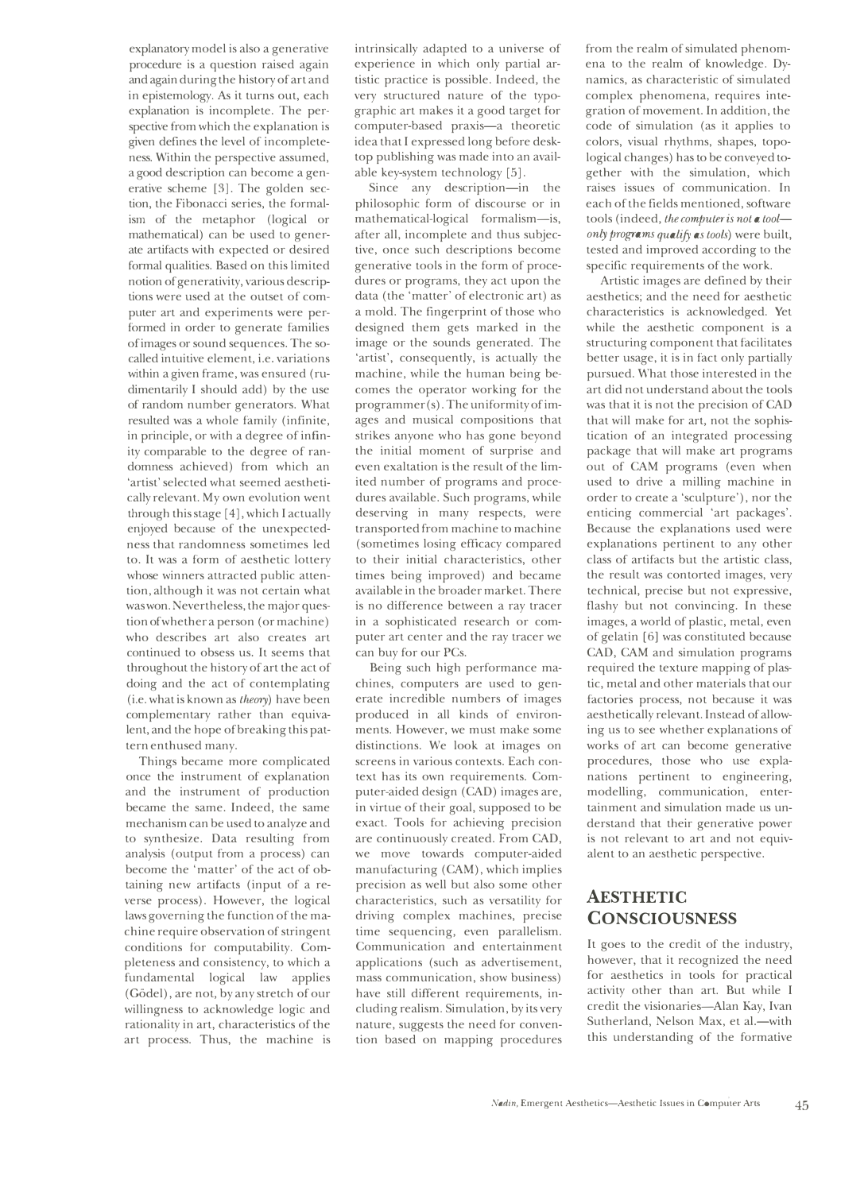explanatory model is also a generative procedure is a question raised again and again during the history of art and in epistemology. As it turns out, each explanation is incomplete. The perspective from which the explanation is given defines the level of incompleteness. Within the perspective assumed, a good description can become a generative scheme [3]. The golden section, the Fibonacci series, the formalism of the metaphor (logical or mathematical) can be used to generate artifacts with expected or desired formal qualities. Based on this limited notion of generativity, various descriptions were used at the outset of computer art and experiments were performed in order to generate families of images or sound sequences. The socalled intuitive element, i.e. variations within a given frame, was ensured (rudimentarily I should add) by the use of random number generators. What resulted was a whole family (infinite, in principle, or with a degree of infinity comparable to the degree of randomness achieved) from which an 'artist' selected what seemed aesthetically relevant. My own evolution went through this stage [ 4], which I actually enjoyed because of the unexpectedness that randomness sometimes led to. It was a form of aesthetic lottery whose winners attracted public attention, although it was not certain what was won. Nevertheless, the major question of whether a person (or machine) who describes art also creates art continued to obsess us. It seems that throughout the history of art the act of doing and the act of contemplating (i.e. what is known as *theory)* have been complementary rather than equivalent, and the hope of breaking this pattern enthused many.

Things became more complicated once the instrument of explanation and the instrument of production became the same. Indeed, the same mechanism can be used to analyze and to synthesize. Data resulting from analysis (output from a process) can become the 'matter' of the act of obtaining new artifacts (input of a reverse process). However, the logical laws governing the function of the machine require observation of stringent conditions for computability. Completeness and consistency, to which a fundamental logical law applies (Godel), are not, by any stretch of our willingness to acknowledge logic and rationality in art, characteristics of the art process. Thus, the machine is

intrinsically adapted to a universe of experience in which only partial artistic practice is possible. Indeed, the very structured nature of the typographic art makes it a good target for computer-based praxis-a theoretic idea that I expressed long before desktop publishing was made into an available key-system technology [5].

Since any description-in the philosophic form of discourse or in mathematical-logical formalism-is, after all, incomplete and thus subjective, once such descriptions become generative tools in the form of procedures or programs, they act upon the data (the 'matter' of electronic art) as a mold. The fingerprint of those who designed them gets marked in the image or the sounds generated. The 'artist', consequently, is actually the machine, while the human being becomes the operator working for the  $programmer(s)$ . The uniformity of images and musical compositions that strikes anyone who has gone beyond the initial moment of surprise and even exaltation is the result of the limited number of programs and procedures available. Such programs, while deserving in many respects, were transported from machine to machine (sometimes losing efficacy compared to their initial characteristics, other times being improved) and became available in the broader market. There is no difference between a ray tracer in a sophisticated research or computer art center and the ray tracer we can buy for our PCs.

Being such high performance machines, computers are used to generate incredible numbers of images produced in all kinds of environments. However, we must make some distinctions. We look at images on screens in various contexts. Each context has its own requirements. Computer-aided design (CAD) images are, in virtue of their goal, supposed to be exact. Tools for achieving precision are continuously created. From CAD, we move towards computer-aided manufacturing (CAM), which implies precision as well but also some other characteristics, such as versatility for driving complex machines, precise time sequencing, even parallelism. Communication and entertainment applications (such as advertisement, mass communication, show business) have still different requirements, including realism. Simulation, by its very nature, suggests the need for convention based on mapping procedures from the realm of simulated phenomena to the realm of knowledge. Dynamics, as characteristic of simulated complex phenomena, requires integration of movement. In addition, the code of simulation (as it applies to colors, visual rhythms, shapes, topological changes) has to be conveyed together with the simulation, which raises issues of communication. In each of the fields mentioned, software tools (indeed, the computer is not a tool *only programs qualify as tools)* were built, tested and improved according to the specific requirements of the work.

Artistic images are defined by their aesthetics; and the need for aesthetic characteristics is acknowledged. Yet while the aesthetic component is a structuring component that facilitates better usage, it is in fact only partially pursued. What those interested in the art did not understand about the tools was that it is not the precision of CAD that will make for art, not the sophistication of an integrated processing package that will make art programs out of CAM programs (even when used to drive a milling machine in order to create a 'sculpture'), nor the enticing commercial 'art packages'. Because the explanations used were explanations pertinent to any other class of artifacts but the artistic class, the result was contorted images, very technical, precise but not expressive, flashy but not convincing. In these images, a world of plastic, metal, even of gelatin [6] was constituted because CAD, CAM and simulation programs required the texture mapping of plastic, metal and other materials that our factories process, not because it was aesthetically relevant. Instead of allowing us to see whether explanations of works of art can become generative procedures, those who use explanations pertinent to engineering, modelling, communication, entertainment and simulation made us understand that their generative power is not relevant to art and not equivalent to an aesthetic perspective.

# **AESTHETIC CONSCIOUSNESS**

It goes to the credit of the industry, however, that it recognized the need for aesthetics in tools for practical activity other than art. But while I credit the visionaries-Alan Kay, Ivan Sutherland, Nelson Max, et al.-with this understanding of the formative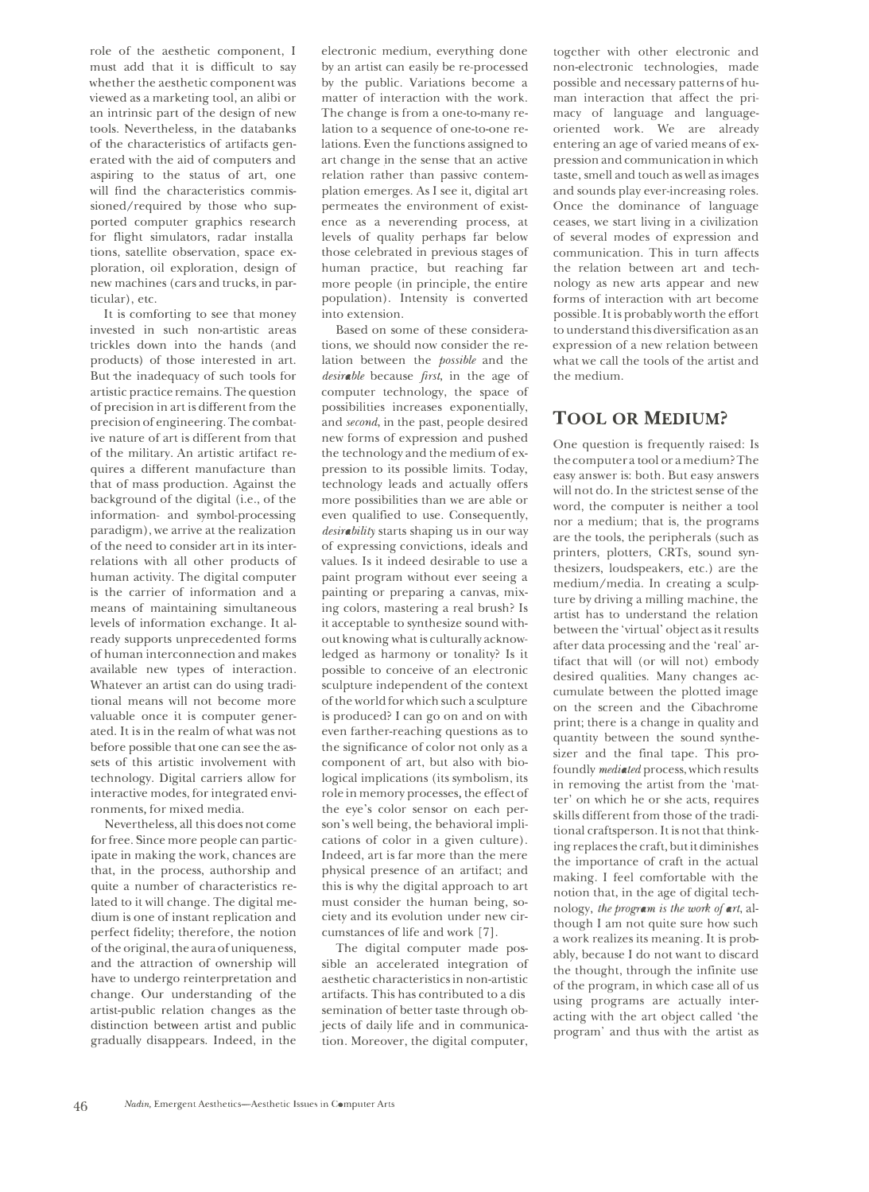role of the aesthetic component, I must add that it is difficult to say whether the aesthetic component was viewed as a marketing tool, an alibi or an intrinsic part of the design of new tools. Nevertheless, in the databanks of the characteristics of artifacts generated with the aid of computers and aspiring to the status of art, one will find the characteristics commissioned/required by those who supported computer graphics research for flight simulators, radar installa tions, satellite observation, space exploration, oil exploration, design of new machines ( cars and trucks, in particular), etc.

It is comforting to see that money invested in such non-artistic areas trickles down into the hands (and products) of those interested in art. But the inadequacy of such tools for artistic practice remains. The question of precision in art is different from the precision of engineering. The combative nature of art is different from that of the military. An artistic artifact requires a different manufacture than that of mass production. Against the background of the digital (i.e., of the information- and symbol-processing paradigm), we arrive at the realization of the need to consider art in its interrelations with all other products of human activity. The digital computer is the carrier of information and a means of maintaining simultaneous levels of information exchange. It already supports unprecedented forms of human interconnection and makes available new types of interaction. Whatever an artist can do using traditional means will not become more valuable once it is computer generated. It is in the realm of what was not before possible that one can see the assets of this artistic involvement with technology. Digital carriers allow for interactive modes, for integrated environments, for mixed media.

Nevertheless, all this does not come for free. Since more people can participate in making the work, chances are that, in the process, authorship and quite a number of characteristics related to it will change. The digital medium is one of instant replication and perfect fidelity; therefore, the notion of the original, the aura of uniqueness, and the attraction of ownership will have to undergo reinterpretation and change. Our understanding of the artist-public relation changes as the distinction between artist and public gradually disappears. Indeed, in the

electronic medium, everything done by an artist can easily be re-processed by the public. Variations become a matter of interaction with the work. The change is from a one-to-many relation to a sequence of one-to-one relations. Even the functions assigned to art change in the sense that an active relation rather than passive contemplation emerges. As I see it, digital art permeates the environment of existence as a neverending process, at levels of quality perhaps far below those celebrated in previous stages of human practice, but reaching far more people (in principle, the entire population). Intensity is converted into extension.

Based on some of these considerations, we should now consider the relation between the *possible* and the *desirable* because *first,* in the age of computer technology, the space of possibilities increases exponentially, and *second,* in the past, people desired new forms of expression and pushed the technology and the medium of expression to its possible limits. Today, technology leads and actually offers more possibilities than we are able or even qualified to use. Consequently, *desirability* starts shaping us in our way of expressing convictions, ideals and values. Is it indeed desirable to use a paint program without ever seeing a painting or preparing a canvas, mixing colors, mastering a real brush? Is it acceptable to synthesize sound without knowing what is culturally acknowledged as harmony or tonality? Is it possible to conceive of an electronic sculpture independent of the context of the world for which such a sculpture is produced? I can go on and on with even farther-reaching questions as to the significance of color not only as a component of art, but also with biological implications (its symbolism, its role in memory processes, the effect of the eye's color sensor on each person's well being, the behavioral implications of color in a given culture). Indeed, art is far more than the mere physical presence of an artifact; and this is why the digital approach to art must consider the human being, society and its evolution under new circumstances of life and work [7].

The digital computer made possible an accelerated integration of aesthetic characteristics in non-artistic artifacts. This has contributed to a dis semination of better taste through objects of daily life and in communication. Moreover, the digital computer, together with other electronic and non-electronic technologies, made possible and necessary patterns of human interaction that affect the primacy of language and languageoriented work. We are already entering an age of varied means of expression and communication in which taste, smell and touch as well as images and sounds play ever-increasing roles. Once the dominance of language ceases, we start living in a civilization of several modes of expression and communication. This in turn affects the relation between art and technology as new arts appear and new forms of interaction with art become possible. It is probably worth the effort to understand this diversification as an expression of a new relation between what we call the tools of the artist and the medium.

## **TOOL OR MEDIUM?**

One question is frequently raised: Is the computer a tool or a medium? The easy answer is: both. But easy answers will not do. In the strictest sense of the word, the computer is neither a tool nor a medium; that is, the programs are the tools, the peripherals (such as printers, plotters, CRTs, sound synthesizers, loudspeakers, etc.) are the medium/media. In creating a sculpture by driving a milling machine, the artist has to understand the relation between the 'virtual' object as it results after data processing and the 'real' artifact that will (or will not) embody desired qualities. Many changes accumulate between the plotted image on the screen and the Cibachrome print; there is a change in quality and quantity between the sound synthesizer and the final tape. This profoundly *mediated* process, which results in removing the artist from the 'matter' on which he or she acts, requires skills different from those of the traditional craftsperson. It is not that thinking replaces the craft, but it diminishes the importance of craft in the actual making. I feel comfortable with the notion that, in the age of digital technology, *the program is the work of art,* although I am not quite sure how such a work realizes its meaning. It is probably, because I do not want to discard the thought, through the infinite use of the program, in which case all of us using programs are actually interacting with the art object called 'the program' and thus with the artist as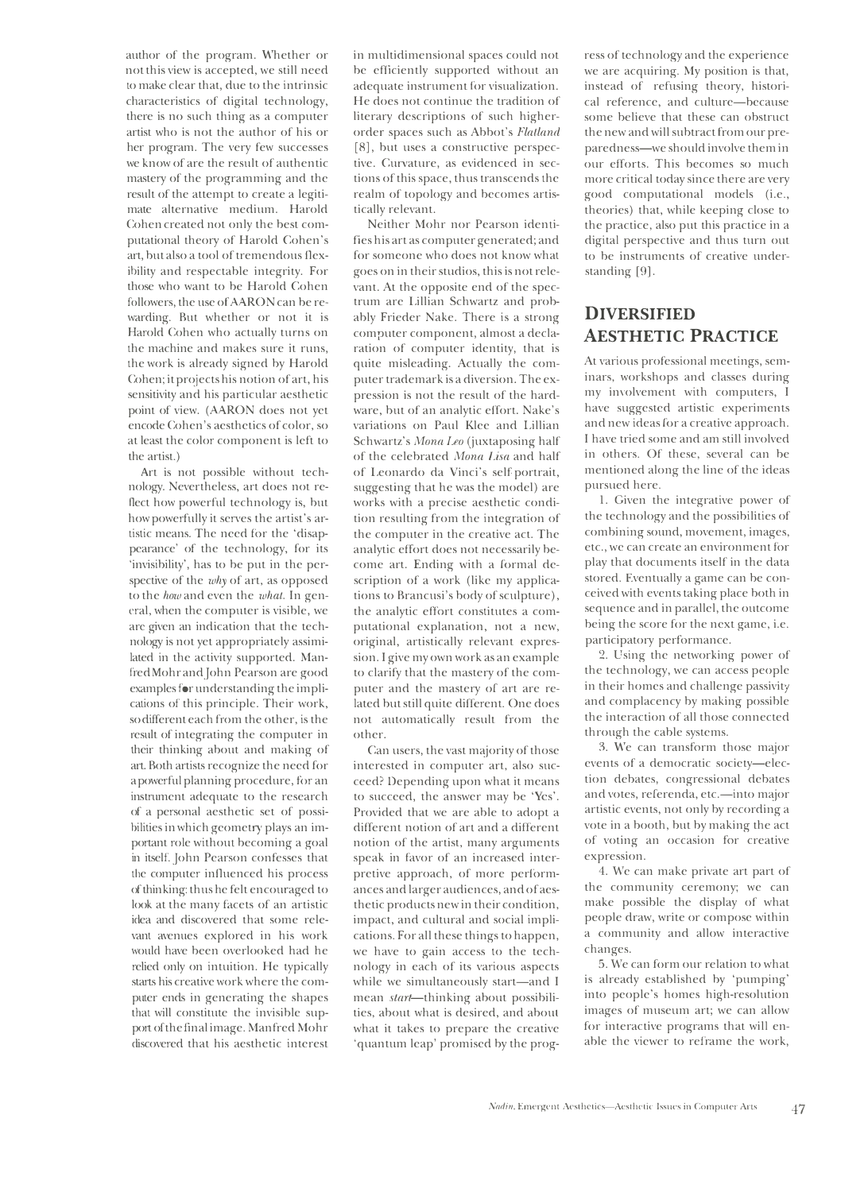author of the program. Whether or not this view is accepted, we still need to make clear that, due to the intrinsic characteristics of digital technology, there is no such thing as a computer artist who is not the author of his or her program. The very few successes we know of are the result of authentic mastery of the programming and the result of the attempt to create a legitimate alternative medium. Harold Cohen created not only the best computational theory of Harold Cohen's art, but also a tool of tremendous flexibility and respectable integrity. For those who want to be Harold Cohen followers, the use of AARON can be rewarding. But whether or not it is Harold Cohen who actually turns on the machine and makes sure it runs, the work is already signed by Harold Cohen; it projects his notion of art, his sensitivity and his particular aesthetic point of view. (AARON does not yet encode Cohen's aesthetics of color, so at least the color component is left to the artist.)

Art is not possible without technology. Nevertheless, art does not re flect how powerful technology is, but how powerfully it serves the artist's artistic means. The need for the 'disappearance' of the technology, for its 'invisibility', has to be put in the perspective of the *why* of art, as opposed to the *how* and even the *what.* In general, when the computer is visible, we arc given an indication that the technology is not yet appropriately assimilated in the activity supported. Manfred Mohr and john Pearson are good examples for understanding the implications of this principle. Their work, so different each from the other, is the result of integrating the computer in their thinking about and making of art. Both artists recognize the need for a powerful planning procedure, for an instrument adequate to the research of a personal aesthetic set of possibilities in which geometry plays an important role without becoming a goal in itself. John Pearson confesses that the computer influenced his process of thinking: thus he felt encouraged to look at the many facets of an artistic idea and discovered that some relevant avenues explored in his work would have been overlooked had he relied only on intuition. He typically starts his creative work where the computer ends in generating the shapes that will constitute the invisible support of the final image. Manfred Mohr discovered that his aesthetic interest

in multidimensional spaces could not be efficiently supported without an adequate instrument for visualization. He does not continue the tradition of literary descriptions of such higherorder spaces such as Abbot's *Flatland* [8], but uses a constructive perspective. Curvature, as evidenced in sections of this space, thus transcends the realm of topology and becomes artistically relevant.

Neither Mohr nor Pearson identifies his art as computer generated; and for someone who does not know what goes on in their studios, this is not relevant. At the opposite end of the spectrum are Lillian Schwartz and probably Frieder Nake. There is a strong computer component, almost a declaration of computer identity, that is quite misleading. Actually the computer trademark is a diversion. The expression is not the result of the hardware, but of an analytic effort. Nake's variations on Paul Klee and Lillian Schwartz's *Mona Leo* (juxtaposing half of the celebrated *Mona Lisa* and half of Leonardo da Vinci's self portrait, suggesting that he was the model) are works with a precise aesthetic condition resulting from the integration of the computer in the creative act. The analytic effort does not necessarily become art. Ending with a formal description of a work (like my applications to Brancusi's body of sculpture), the analytic effort constitutes a computational explanation, not a new, original, artistically relevant expression. I give my own work as an example to clarify that the mastery of the computer and the mastery of art are related but still quite different. One does not automatically result from the other.

Can users, the vast majority of those interested in computer art, also succeed? Depending upon what it means to succeed, the answer may be 'Yes'. Provided that we are able to adopt a different notion of art and a different notion of the artist, many arguments speak in favor of an increased interpretive approach, of more performances and larger audiences, and of aesthetic products new in their condition, impact, and cultural and social implications. For all these things to happen, we have to gain access to the technology in each of its various aspects while we simultaneously start-and I mean start-thinking about possibilities, about what is desired, and about what it takes to prepare the creative 'quantum leap' promised by the progress of technology and the experience we are acquiring. My position is that, instead of refusing theory, historical reference, and culture-because some believe that these can obstruct the new and will subtract from our preparedness-we should involve them in our efforts. This becomes so much more critical today since there are very good computational models (i.e., theories) that, while keeping close to the practice, also put this practice in a digital perspective and thus turn out to be instruments of creative understanding [9].

## **DIVERSIFIED AESTHETIC PRACTICE**

At various professional meetings, seminars, workshops and classes during my involvement with computers, I have suggested artistic experiments and new ideas for a creative approach. I have tried some and am still involved in others. Of these, several can be mentioned along the line of the ideas pursued here.

l. Given the integrative power of the technology and the possibilities of combining sound, movement, images, etc., we can create an environment for play that documents itself in the data stored. Eventually a game can be conceived with events taking place both in sequence and in parallel, the outcome being the score for the next game, i.e. participatory performance.

2. Using the networking power of the technology, we can access people in their homes and challenge passivity and complacency by making possible the interaction of all those connected through the cable systems.

3. We can transform those major events of a democratic society-election debates, congressional debates and votes, referenda, etc.-into major artistic events, not only by recording a vote in a booth, but by making the act of voting an occasion for creative expression.

4. We can make private art part of the community ceremony; we can make possible the display of what people draw, write or compose within a community and allow interactive changes.

5. We can form our relation to what is already established by 'pumping' into people's homes high-resolution images of museum art; we can allow for interactive programs that will enable the viewer to reframe the work,